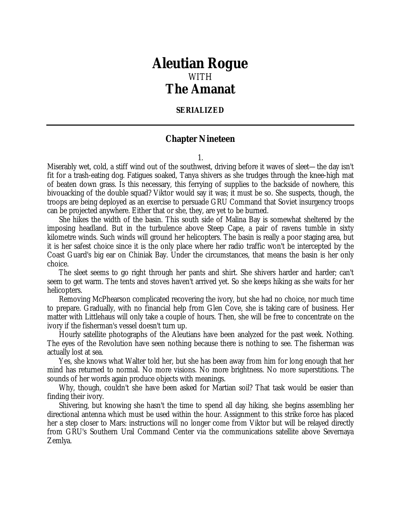# *Aleutian Rogue* WITH *The Amanat*

### **SERIALIZED**

## **Chapter Nineteen**

1.

Miserably wet, cold, a stiff wind out of the southwest, driving before it waves of sleet—the day isn't fit for a trash-eating dog. Fatigues soaked, Tanya shivers as she trudges through the knee-high mat of beaten down grass. Is this necessary, this ferrying of supplies to the backside of nowhere, this bivouacking of the double squad? Viktor would say it was; it must be so. She suspects, though, the troops are being deployed as an exercise to persuade GRU Command that Soviet insurgency troops can be projected anywhere. Either that or she, they, are yet to be burned.

She hikes the width of the basin. This south side of Malina Bay is somewhat sheltered by the imposing headland. But in the turbulence above Steep Cape, a pair of ravens tumble in sixty kilometre winds. Such winds will ground her helicopters. The basin is really a poor staging area, but it is her safest choice since it is the only place where her radio traffic won't be intercepted by the Coast Guard's big ear on Chiniak Bay. Under the circumstances, that means the basin is her only choice.

The sleet seems to go right through her pants and shirt. She shivers harder and harder; can't seem to get warm. The tents and stoves haven't arrived yet. So she keeps hiking as she waits for her helicopters.

Removing McPhearson complicated recovering the ivory, but she had no choice, nor much time to prepare. Gradually, with no financial help from Glen Cove, she is taking care of business. Her matter with Littlehaus will only take a couple of hours. Then, she will be free to concentrate on the ivory if the fisherman's vessel doesn't turn up.

Hourly satellite photographs of the Aleutians have been analyzed for the past week. Nothing. The eyes of the Revolution have seen nothing because there is nothing to see. The fisherman was actually lost at sea.

Yes, she knows what Walter told her, but she has been away from him for long enough that her mind has returned to normal. No more visions. No more brightness. No more superstitions. The sounds of her words again produce objects with meanings.

Why, though, couldn't she have been asked for Martian soil? That task would be easier than finding their ivory.

Shivering, but knowing she hasn't the time to spend all day hiking, she begins assembling her directional antenna which must be used within the hour. Assignment to this strike force has placed her a step closer to Mars: instructions will no longer come from Viktor but will be relayed directly from GRU's Southern Ural Command Center via the communications satellite above Severnaya Zemlya.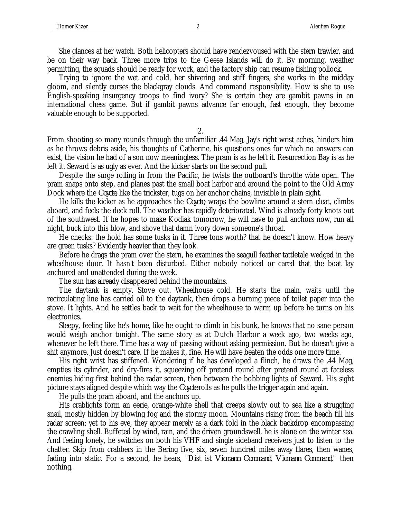She glances at her watch. Both helicopters should have rendezvoused with the stern trawler, and be on their way back. Three more trips to the Geese Islands will do it. By morning, weather permitting, the squads should be ready for work, and the factory ship can resume fishing pollock.

Trying to ignore the wet and cold, her shivering and stiff fingers, she works in the midday gloom, and silently curses the blackgray clouds. And command responsibility. How is she to use English-speaking insurgency troops to find ivory? She is certain they are gambit pawns in an international chess game. But if gambit pawns advance far enough, fast enough, they become valuable enough to be supported.

2.

From shooting so many rounds through the unfamiliar .44 Mag, Jay's right wrist aches, hinders him as he throws debris aside, his thoughts of Catherine, his questions ones for which no answers can exist, the vision he had of a son now meaningless. The pram is as he left it. Resurrection Bay is as he left it. Seward is as ugly as ever. And the kicker starts on the second pull.

Despite the surge rolling in from the Pacific, he twists the outboard's throttle wide open. The pram snaps onto step, and planes past the small boat harbor and around the point to the Old Army Dock where the *Coyote*, like the trickster, tugs on her anchor chains, invisible in plain sight.

He kills the kicker as he approaches the *Coyote*, wraps the bowline around a stern cleat, climbs aboard, and feels the deck roll. The weather has rapidly deteriorated. Wind is already forty knots out of the southwest. If he hopes to make Kodiak tomorrow, he will have to pull anchors now, run all night, buck into this blow, and shove that damn ivory down someone's throat.

He checks: the hold has some tusks in it. Three tons worth? that he doesn't know. How heavy are green tusks? Evidently heavier than they look.

Before he drags the pram over the stern, he examines the seagull feather tattletale wedged in the wheelhouse door. It hasn't been disturbed. Either nobody noticed or cared that the boat lay anchored and unattended during the week.

The sun has already disappeared behind the mountains.

The daytank is empty. Stove out. Wheelhouse cold. He starts the main, waits until the recirculating line has carried oil to the daytank, then drops a burning piece of toilet paper into the stove. It lights. And he settles back to wait for the wheelhouse to warm up before he turns on his electronics.

Sleepy, feeling like he's home, like he ought to climb in his bunk, he knows that no sane person would weigh anchor tonight. The same story as at Dutch Harbor a week ago, two weeks ago, whenever he left there. Time has a way of passing without asking permission. But he doesn't give a shit anymore. Just doesn't care. If he makes it, fine. He will have beaten the odds one more time.

His right wrist has stiffened. Wondering if he has developed a flinch, he draws the .44 Mag, empties its cylinder, and dry-fires it, squeezing off pretend round after pretend round at faceless enemies hiding first behind the radar screen, then between the bobbing lights of Seward. His sight picture stays aligned despite which way the *Coyote* rolls as he pulls the trigger again and again.

He pulls the pram aboard, and the anchors up.

His crablights form an eerie, orange-white shell that creeps slowly out to sea like a struggling snail, mostly hidden by blowing fog and the stormy moon. Mountains rising from the beach fill his radar screen; yet to his eye, they appear merely as a dark fold in the black backdrop encompassing the crawling shell. Buffeted by wind, rain, and the driven groundswell, he is alone on the winter sea. And feeling lonely, he switches on both his VHF and single sideband receivers just to listen to the chatter. Skip from crabbers in the Bering five, six, seven hundred miles away flares, then wanes, fading into static. For a second, he hears, "Dist ist *Vicmann Command*, *Vicmann Command*," then nothing.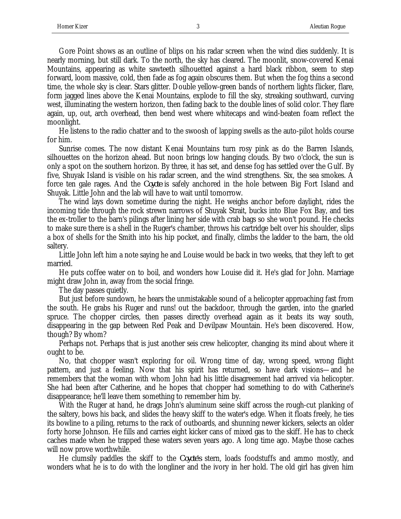Gore Point shows as an outline of blips on his radar screen when the wind dies suddenly. It is nearly morning, but still dark. To the north, the sky has cleared. The moonlit, snow-covered Kenai Mountains, appearing as white sawteeth silhouetted against a hard black ribbon, seem to step forward, loom massive, cold, then fade as fog again obscures them. But when the fog thins a second time, the whole sky is clear. Stars glitter. Double yellow-green bands of northern lights flicker, flare, form jagged lines above the Kenai Mountains, explode to fill the sky, streaking southward, curving west, illuminating the western horizon, then fading back to the double lines of solid color. They flare again, up, out, arch overhead, then bend west where whitecaps and wind-beaten foam reflect the moonlight.

He listens to the radio chatter and to the swoosh of lapping swells as the auto-pilot holds course for him.

Sunrise comes. The now distant Kenai Mountains turn rosy pink as do the Barren Islands, silhouettes on the horizon ahead. But noon brings low hanging clouds. By two o'clock, the sun is only a spot on the southern horizon. By three, it has set, and dense fog has settled over the Gulf. By five, Shuyak Island is visible on his radar screen, and the wind strengthens. Six, the sea smokes. A force ten gale rages. And the *Coyote* is safely anchored in the hole between Big Fort Island and Shuyak. Little John and the lab will have to wait until tomorrow.

The wind lays down sometime during the night. He weighs anchor before daylight, rides the incoming tide through the rock strewn narrows of Shuyak Strait, bucks into Blue Fox Bay, and ties the ex-troller to the barn's pilings after lining her side with crab bags so she won't pound. He checks to make sure there is a shell in the Ruger's chamber, throws his cartridge belt over his shoulder, slips a box of shells for the Smith into his hip pocket, and finally, climbs the ladder to the barn, the old saltery.

Little John left him a note saying he and Louise would be back in two weeks, that they left to get married.

He puts coffee water on to boil, and wonders how Louise did it. He's glad for John. Marriage might draw John in, away from the social fringe.

The day passes quietly.

But just before sundown, he hears the unmistakable sound of a helicopter approaching fast from the south. He grabs his Ruger and runs! out the backdoor, through the garden, into the gnarled spruce. The chopper circles, then passes directly overhead again as it beats its way south, disappearing in the gap between Red Peak and Devilpaw Mountain. He's been discovered. How, though? By whom?

Perhaps not. Perhaps that is just another seis crew helicopter, changing its mind about where it ought to be.

No, that chopper wasn't exploring for oil. Wrong time of day, wrong speed, wrong flight pattern, and just a feeling. Now that his spirit has returned, so have dark visions—and he remembers that the woman with whom John had his little disagreement had arrived via helicopter. She had been after Catherine, and he hopes that chopper had something to do with Catherine's disappearance; he'll leave them something to remember him by.

With the Ruger at hand, he drags John's aluminum seine skiff across the rough-cut planking of the saltery, bows his back, and slides the heavy skiff to the water's edge. When it floats freely, he ties its bowline to a piling, returns to the rack of outboards, and shunning newer kickers, selects an older forty horse Johnson. He fills and carries eight kicker cans of mixed gas to the skiff. He has to check caches made when he trapped these waters seven years ago. A long time ago. Maybe those caches will now prove worthwhile.

He clumsily paddles the skiff to the *Coyote's* stern, loads foodstuffs and ammo mostly, and wonders what he is to do with the longliner and the ivory in her hold. The old girl has given him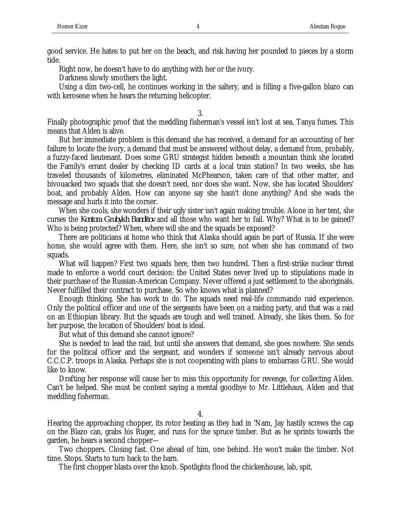good service. He hates to put her on the beach, and risk having her pounded to pieces by a storm tide.

Right now, he doesn't have to do anything with her or the ivory.

Darkness slowly smothers the light.

Using a dim two-cell, he continues working in the saltery, and is filling a five-gallon blazo can with kerosene when he hears the returning helicopter.

3.

Finally photographic proof that the meddling fisherman's vessel isn't lost at sea. Tanya fumes. This means that Alden is alive.

But her immediate problem is this demand she has received, a demand for an accounting of her failure to locate the ivory, a demand that must be answered without delay, a demand from, probably, a fuzzy-faced lieutenant. Does some GRU strategist hidden beneath a mountain think she located the Family's errant dealer by checking ID cards at a local train station? In two weeks, she has traveled thousands of kilometres, eliminated McPhearson, taken care of that other matter, and bivouacked two squads that she doesn't need, nor does she want. Now, she has located Shoulders' boat, and probably Alden. How can anyone say she hasn't done anything? And she wads the message and hurls it into the corner.

When she cools, she wonders if their ugly sister isn't again making trouble. Alone in her tent, she curses the *Kontora Grubykh Banditov* and all those who want her to fail. Why? What is to be gained? Who is being protected? When, where will she and the squads be exposed?

There are politicians at home who think that Alaska should again be part of Russia. If she were home, she would agree with them. Here, she isn't so sure, not when she has command of two squads.

What will happen? First two squads here, then two hundred. Then a first-strike nuclear threat made to enforce a world court decision: the United States never lived up to stipulations made in their purchase of the Russian-American Company. Never offered a just settlement to the aboriginals. Never fulfilled their contract to purchase. So who knows what is planned?

Enough thinking. She has work to do. The squads need real-life commando raid experience. Only the political officer and one of the sergeants have been on a raiding party, and that was a raid on an Ethiopian library. But the squads are tough and well trained. Already, she likes them. So for her purpose, the location of Shoulders' boat is ideal.

But what of this demand she cannot ignore?

She is needed to lead the raid, but until she answers that demand, she goes nowhere. She sends for the political officer and the sergeant, and wonders if someone isn't already nervous about C.C.C.P. troops in Alaska. Perhaps she is not cooperating with plans to embarrass GRU. She would like to know.

Drafting her response will cause her to miss this opportunity for revenge, for collecting Alden. Can't be helped. She must be content saying a mental goodbye to Mr. Littlehaus, Alden and that meddling fisherman.

4.

Hearing the approaching chopper, its rotor beating as they had in 'Nam, Jay hastily screws the cap on the Blazo can, grabs his Ruger, and runs for the spruce timber. But as he sprints towards the garden, he hears a second chopper—

Two choppers. Closing fast. One ahead of him, one behind. He won't make the timber. Not time. Stops. Starts to turn back to the barn.

The first chopper blasts over the knob. Spotlights flood the chickenhouse, lab, spit.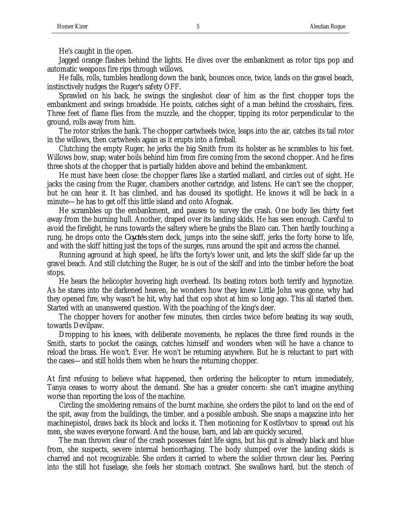He's caught in the open.

Jagged orange flashes behind the lights. He dives over the embankment as rotor tips pop and automatic weapons fire rips through willows.

He falls, rolls, tumbles headlong down the bank, bounces once, twice, lands on the gravel beach, instinctively nudges the Ruger's safety OFF.

Sprawled on his back, he swings the singleshot clear of him as the first chopper tops the embankment and swings broadside. He points, catches sight of a man behind the crosshairs, fires. Three feet of flame flies from the muzzle, and the chopper, tipping its rotor perpendicular to the ground, rolls away from him.

The rotor strikes the bank. The chopper cartwheels twice, leaps into the air, catches its tail rotor in the willows, then cartwheels again as it erupts into a fireball.

Clutching the empty Ruger, he jerks the big Smith from its holster as he scrambles to his feet. Willows bow, snap; water boils behind him from fire coming from the second chopper. And he fires three shots at the chopper that is partially hidden above and behind the embankment.

He must have been close: the chopper flares like a startled mallard, and circles out of sight. He jacks the casing from the Ruger, chambers another cartridge, and listens. He can't see the chopper, but he can hear it. It has climbed, and has doused its spotlight. He knows it will be back in a minute—he has to get off this little island and onto Afognak.

He scrambles up the embankment, and pauses to survey the crash. One body lies thirty feet away from the burning hull. Another, draped over its landing skids. He has seen enough. Careful to avoid the firelight, he runs towards the saltery where he grabs the Blazo can. Then hardly touching a rung, he drops onto the *Coyote's* stern deck, jumps into the seine skiff, jerks the forty horse to life, and with the skiff hitting just the tops of the surges, runs around the spit and across the channel.

Running aground at high speed, he lifts the forty's lower unit, and lets the skiff slide far up the gravel beach. And still clutching the Ruger, he is out of the skiff and into the timber before the boat stops.

He hears the helicopter hovering high overhead. Its beating rotors both terrify and hypnotize. As he stares into the darkened heaven, he wonders how they knew Little John was gone, why had they opened fire, why wasn't he hit, why had that cop shot at him so long ago. This all started then. Started with an unanswered question. With the poaching of the king's deer.

The chopper hovers for another few minutes, then circles twice before beating its way south, towards Devilpaw.

Dropping to his knees, with deliberate movements, he replaces the three fired rounds in the Smith, starts to pocket the casings, catches himself and wonders when will he have a chance to reload the brass. He won't. Ever. He won't be returning anywhere. But he is reluctant to part with the cases—and still holds them when he hears the returning chopper.

At first refusing to believe what happened, then ordering the helicopter to return immediately, Tanya ceases to worry about the demand. She has a greater concern: she can't imagine anything worse than reporting the loss of the machine.

\*

Circling the smoldering remains of the burnt machine, she orders the pilot to land on the end of the spit, away from the buildings, the timber, and a possible ambush. She snaps a magazine into her machinepistol, draws back its block and locks it. Then motioning for Kostlivtsov to spread out his men, she waves everyone forward. And the house, barn, and lab are quickly secured.

The man thrown clear of the crash possesses faint life signs, but his gut is already black and blue from, she suspects, severe internal hemorrhaging. The body slumped over the landing skids is charred and not recognizable. She orders it carried to where the soldier thrown clear lies. Peering into the still hot fuselage, she feels her stomach contract. She swallows hard, but the stench of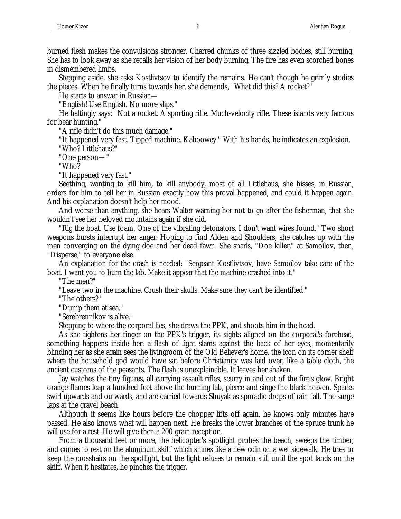burned flesh makes the convulsions stronger. Charred chunks of three sizzled bodies, still burning. She has to look away as she recalls her vision of her body burning. The fire has even scorched bones in dismembered limbs.

Stepping aside, she asks Kostlivtsov to identify the remains. He can't though he grimly studies the pieces. When he finally turns towards her, she demands, "What did this? A rocket?"

He starts to answer in Russian—

"English! Use English. No more slips."

He haltingly says: "Not a rocket. A sporting rifle. Much-velocity rifle. These islands very famous for bear hunting."

"A rifle didn't do this much damage."

"It happened very fast. Tipped machine. Kaboowey." With his hands, he indicates an explosion. "Who? Littlehaus?"

"One person—"

"Who?"

"It happened very fast."

Seething, wanting to kill him, to kill anybody, most of all Littlehaus, she hisses, in Russian, orders for him to tell her in Russian exactly how this proval happened, and could it happen again. And his explanation doesn't help her mood.

And worse than anything, she hears Walter warning her not to go after the fisherman, that she wouldn't see her beloved mountains again if she did.

"Rig the boat. Use foam. One of the vibrating detonators. I don't want wires found." Two short weapons bursts interrupt her anger. Hoping to find Alden and Shoulders, she catches up with the men converging on the dying doe and her dead fawn. She snarls, "Doe killer," at Samoilov, then, "Disperse," to everyone else.

An explanation for the crash is needed: "Sergeant Kostlivtsov, have Samoilov take care of the boat. I want you to burn the lab. Make it appear that the machine crashed into it."

"The men?"

"Leave two in the machine. Crush their skulls. Make sure they can't be identified."

"The others?"

"Dump them at sea."

"Serebrennikov is alive."

Stepping to where the corporal lies, she draws the PPK, and shoots him in the head.

As she tightens her finger on the PPK's trigger, its sights aligned on the corporal's forehead, something happens inside her: a flash of light slams against the back of her eyes, momentarily blinding her as she again sees the livingroom of the Old Believer's home, the icon on its corner shelf where the household god would have sat before Christianity was laid over, like a table cloth, the ancient customs of the peasants. The flash is unexplainable. It leaves her shaken.

Jay watches the tiny figures, all carrying assault rifles, scurry in and out of the fire's glow. Bright orange flames leap a hundred feet above the burning lab, pierce and singe the black heaven. Sparks swirl upwards and outwards, and are carried towards Shuyak as sporadic drops of rain fall. The surge laps at the gravel beach.

Although it seems like hours before the chopper lifts off again, he knows only minutes have passed. He also knows what will happen next. He breaks the lower branches of the spruce trunk he will use for a rest. He will give then a 200-grain reception.

From a thousand feet or more, the helicopter's spotlight probes the beach, sweeps the timber, and comes to rest on the aluminum skiff which shines like a new coin on a wet sidewalk. He tries to keep the crosshairs on the spotlight, but the light refuses to remain still until the spot lands on the skiff. When it hesitates, he pinches the trigger.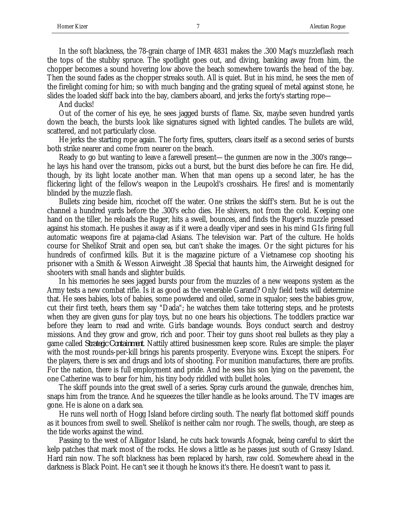In the soft blackness, the 78-grain charge of IMR 4831 makes the .300 Mag's muzzleflash reach the tops of the stubby spruce. The spotlight goes out, and diving, banking away from him, the chopper becomes a sound hovering low above the beach somewhere towards the head of the bay. Then the sound fades as the chopper streaks south. All is quiet. But in his mind, he sees the men of the firelight coming for him; so with much banging and the grating squeal of metal against stone, he slides the loaded skiff back into the bay, clambers aboard, and jerks the forty's starting rope—

And ducks!

Out of the corner of his eye, he sees jagged bursts of flame. Six, maybe seven hundred yards down the beach, the bursts look like signatures signed with lighted candles. The bullets are wild, scattered, and not particularly close.

He jerks the starting rope again. The forty fires, sputters, clears itself as a second series of bursts both strike nearer and come from nearer on the beach.

Ready to go but wanting to leave a farewell present—the gunmen are now in the .300's range he lays his hand over the transom, picks out a burst, but the burst dies before he can fire. He did, though, by its light locate another man. When that man opens up a second later, he has the flickering light of the fellow's weapon in the Leupold's crosshairs. He fires! and is momentarily blinded by the muzzle flash.

Bullets zing beside him, ricochet off the water. One strikes the skiff's stern. But he is out the channel a hundred yards before the .300's echo dies. He shivers, not from the cold. Keeping one hand on the tiller, he reloads the Ruger, hits a swell, bounces, and finds the Ruger's muzzle pressed against his stomach. He pushes it away as if it were a deadly viper and sees in his mind GIs firing full automatic weapons fire at pajama-clad Asians. The television war. Part of the culture. He holds course for Shelikof Strait and open sea, but can't shake the images. Or the sight pictures for his hundreds of confirmed kills. But it is the magazine picture of a Vietnamese cop shooting his prisoner with a Smith & Wesson Airweight .38 Special that haunts him, the Airweight designed for shooters with small hands and slighter builds.

In his memories he sees jagged bursts pour from the muzzles of a new weapons system as the Army tests a new combat rifle. Is it as good as the venerable Garand? Only field tests will determine that. He sees babies, lots of babies, some powdered and oiled, some in squalor; sees the babies grow, cut their first teeth, hears them say "Dada"; he watches them take tottering steps, and he protests when they are given guns for play toys, but no one hears his objections. The toddlers practice war before they learn to read and write. Girls bandage wounds. Boys conduct search and destroy missions. And they grow and grow, rich and poor. Their toy guns shoot real bullets as they play a game called *Strategic Containment*. Nattily attired businessmen keep score. Rules are simple: the player with the most rounds-per-kill brings his parents prosperity. Everyone wins. Except the snipers. For the players, there is sex and drugs and lots of shooting. For munition manufactures, there are profits. For the nation, there is full employment and pride. And he sees his son lying on the pavement, the one Catherine was to bear for him, his tiny body riddled with bullet holes.

The skiff pounds into the great swell of a series. Spray curls around the gunwale, drenches him, snaps him from the trance. And he squeezes the tiller handle as he looks around. The TV images are gone. He is alone on a dark sea.

He runs well north of Hogg Island before circling south. The nearly flat bottomed skiff pounds as it bounces from swell to swell. Shelikof is neither calm nor rough. The swells, though, are steep as the tide works against the wind.

Passing to the west of Alligator Island, he cuts back towards Afognak, being careful to skirt the kelp patches that mark most of the rocks. He slows a little as he passes just south of Grassy Island. Hard rain now. The soft blackness has been replaced by harsh, raw cold. Somewhere ahead in the darkness is Black Point. He can't see it though he knows it's there. He doesn't want to pass it.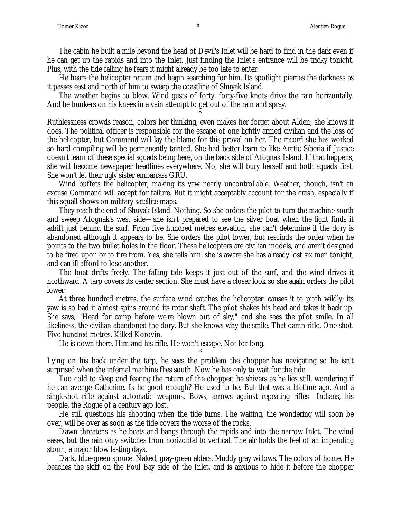The cabin he built a mile beyond the head of Devil's Inlet will be hard to find in the dark even if he can get up the rapids and into the Inlet. Just finding the Inlet's entrance will be tricky tonight. Plus, with the tide falling he fears it might already be too late to enter.

He hears the helicopter return and begin searching for him. Its spotlight pierces the darkness as it passes east and north of him to sweep the coastline of Shuyak Island.

The weather begins to blow. Wind gusts of forty, forty-five knots drive the rain horizontally. And he hunkers on his knees in a vain attempt to get out of the rain and spray.

\*

Ruthlessness crowds reason, colors her thinking, even makes her forget about Alden; she knows it does. The political officer is responsible for the escape of one lightly armed civilian and the loss of the helicopter, but Command will lay the blame for this proval on her. The record she has worked so hard compiling will be permanently tainted. She had better learn to like Arctic Siberia if Justice doesn't learn of these special squads being here, on the back side of Afognak Island. If that happens, she will become newspaper headlines everywhere. No, she will bury herself and both squads first. She won't let their ugly sister embarrass GRU.

Wind buffets the helicopter, making its yaw nearly uncontrollable. Weather, though, isn't an excuse Command will accept for failure. But it might acceptably account for the crash, especially if this squall shows on military satellite maps.

They reach the end of Shuyak Island. Nothing. So she orders the pilot to turn the machine south and sweep Afognak's west side—she isn't prepared to see the silver boat when the light finds it adrift just behind the surf. From five hundred metres elevation, she can't determine if the dory is abandoned although it appears to be. She orders the pilot lower, but rescinds the order when he points to the two bullet holes in the floor. These helicopters are civilian models, and aren't designed to be fired upon or to fire from. Yes, she tells him, she is aware she has already lost six men tonight, and can ill afford to lose another.

The boat drifts freely. The falling tide keeps it just out of the surf, and the wind drives it northward. A tarp covers its center section. She must have a closer look so she again orders the pilot lower.

At three hundred metres, the surface wind catches the helicopter, causes it to pitch wildly; its yaw is so bad it almost spins around its rotor shaft. The pilot shakes his head and takes it back up. She says, "Head for camp before we're blown out of sky," and she sees the pilot smile. In all likeliness, the civilian abandoned the dory. But she knows why the smile. That damn rifle. One shot. Five hundred metres. Killed Korovin.

He is down there. Him and his rifle. He won't escape. Not for long.

\* Lying on his back under the tarp, he sees the problem the chopper has navigating so he isn't surprised when the infernal machine flies south. Now he has only to wait for the tide.

Too cold to sleep and fearing the return of the chopper, he shivers as he lies still, wondering if he can avenge Catherine. Is he good enough? He used to be. But that was a lifetime ago. And a singleshot rifle against automatic weapons. Bows, arrows against repeating rifles—Indians, his people, the Rogue of a century ago lost.

He still questions his shooting when the tide turns. The waiting, the wondering will soon be over, will be over as soon as the tide covers the worse of the rocks.

Dawn threatens as he beats and bangs through the rapids and into the narrow Inlet. The wind eases, but the rain only switches from horizontal to vertical. The air holds the feel of an impending storm, a major blow lasting days.

Dark, blue-green spruce. Naked, gray-green alders. Muddy gray willows. The colors of home. He beaches the skiff on the Foul Bay side of the Inlet, and is anxious to hide it before the chopper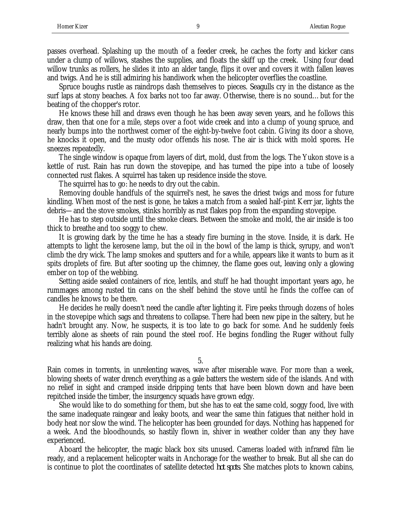passes overhead. Splashing up the mouth of a feeder creek, he caches the forty and kicker cans under a clump of willows, stashes the supplies, and floats the skiff up the creek. Using four dead willow trunks as rollers, he slides it into an alder tangle, flips it over and covers it with fallen leaves and twigs. And he is still admiring his handiwork when the helicopter overflies the coastline.

Spruce boughs rustle as raindrops dash themselves to pieces. Seagulls cry in the distance as the surf laps at stony beaches. A fox barks not too far away. Otherwise, there is no sound…but for the beating of the chopper's rotor.

He knows these hill and draws even though he has been away seven years, and he follows this draw, then that one for a mile, steps over a foot wide creek and into a clump of young spruce, and nearly bumps into the northwest corner of the eight-by-twelve foot cabin. Giving its door a shove, he knocks it open, and the musty odor offends his nose. The air is thick with mold spores. He sneezes repeatedly.

The single window is opaque from layers of dirt, mold, dust from the logs. The Yukon stove is a kettle of rust. Rain has run down the stovepipe, and has turned the pipe into a tube of loosely connected rust flakes. A squirrel has taken up residence inside the stove.

The squirrel has to go: he needs to dry out the cabin.

Removing double handfuls of the squirrel's nest, he saves the driest twigs and moss for future kindling. When most of the nest is gone, he takes a match from a sealed half-pint Kerr jar, lights the debris—and the stove smokes, stinks horribly as rust flakes pop from the expanding stovepipe.

He has to step outside until the smoke clears. Between the smoke and mold, the air inside is too thick to breathe and too soggy to chew.

It is growing dark by the time he has a steady fire burning in the stove. Inside, it is dark. He attempts to light the kerosene lamp, but the oil in the bowl of the lamp is thick, syrupy, and won't climb the dry wick. The lamp smokes and sputters and for a while, appears like it wants to burn as it spits droplets of fire. But after sooting up the chimney, the flame goes out, leaving only a glowing ember on top of the webbing.

Setting aside sealed containers of rice, lentils, and stuff he had thought important years ago, he rummages among rusted tin cans on the shelf behind the stove until he finds the coffee can of candles he knows to be there.

He decides he really doesn't need the candle after lighting it. Fire peeks through dozens of holes in the stovepipe which sags and threatens to collapse. There had been new pipe in the saltery, but he hadn't brought any. Now, he suspects, it is too late to go back for some. And he suddenly feels terribly alone as sheets of rain pound the steel roof. He begins fondling the Ruger without fully realizing what his hands are doing.

5.

Rain comes in torrents, in unrelenting waves, wave after miserable wave. For more than a week, blowing sheets of water drench everything as a gale batters the western side of the islands. And with no relief in sight and cramped inside dripping tents that have been blown down and have been repitched inside the timber, the insurgency squads have grown edgy.

She would like to do something for them, but she has to eat the same cold, soggy food, live with the same inadequate raingear and leaky boots, and wear the same thin fatigues that neither hold in body heat nor slow the wind. The helicopter has been grounded for days. Nothing has happened for a week. And the bloodhounds, so hastily flown in, shiver in weather colder than any they have experienced.

Aboard the helicopter, the magic black box sits unused. Cameras loaded with infrared film lie ready, and a replacement helicopter waits in Anchorage for the weather to break. But all she can do is continue to plot the coordinates of satellite detected *hot spots*. She matches plots to known cabins,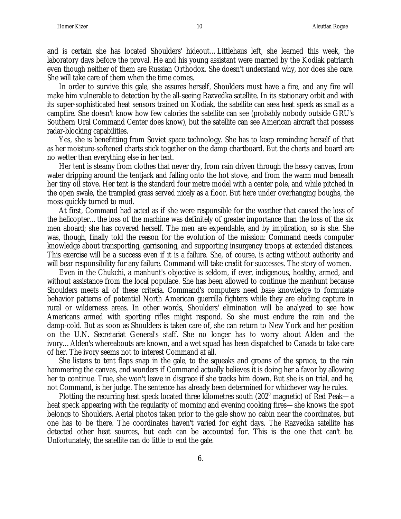and is certain she has located Shoulders' hideout…Littlehaus left, she learned this week, the laboratory days before the proval. He and his young assistant were married by the Kodiak patriarch even though neither of them are Russian Orthodox. She doesn't understand why, nor does she care. She will take care of them when the time comes.

In order to survive this gale, she assures herself, Shoulders must have a fire, and any fire will make him vulnerable to detection by the all-seeing Razvedka satellite. In its stationary orbit and with its super-sophisticated heat sensors trained on Kodiak, the satellite can *see* a heat speck as small as a campfire. She doesn't know how few calories the satellite can see (probably nobody outside GRU's Southern Ural Command Center does know), but the satellite can see American aircraft that possess radar-blocking capabilities.

Yes, she is benefitting from Soviet space technology. She has to keep reminding herself of that as her moisture-softened charts stick together on the damp chartboard. But the charts and board are no wetter than everything else in her tent.

Her tent is steamy from clothes that never dry, from rain driven through the heavy canvas, from water dripping around the tentjack and falling onto the hot stove, and from the warm mud beneath her tiny oil stove. Her tent is the standard four metre model with a center pole, and while pitched in the open swale, the trampled grass served nicely as a floor. But here under overhanging boughs, the moss quickly turned to mud.

At first, Command had acted as if she were responsible for the weather that caused the loss of the helicopter…the loss of the machine was definitely of greater importance than the loss of the six men aboard; she has covered herself. The men are expendable, and by implication, so is she. She was, though, finally told the reason for the evolution of the mission: Command needs computer knowledge about transporting, garrisoning, and supporting insurgency troops at extended distances. This exercise will be a success even if it is a failure. She, of course, is acting without authority and will bear responsibility for any failure. Command will take credit for successes. The story of women.

Even in the Chukchi, a manhunt's objective is seldom, if ever, indigenous, healthy, armed, and without assistance from the local populace. She has been allowed to continue the manhunt because Shoulders meets all of these criteria. Command's computers need base knowledge to formulate behavior patterns of potential North American guerrilla fighters while they are eluding capture in rural or wilderness areas. In other words, Shoulders' elimination will be analyzed to see how Americans armed with sporting rifles might respond. So she must endure the rain and the damp-cold. But as soon as Shoulders is taken care of, she can return to New York and her position on the U.N. Secretariat General's staff. She no longer has to worry about Alden and the ivory…Alden's whereabouts are known, and a wet squad has been dispatched to Canada to take care of her. The ivory seems not to interest Command at all.

She listens to tent flaps snap in the gale, to the squeaks and groans of the spruce, to the rain hammering the canvas, and wonders if Command actually believes it is doing her a favor by allowing her to continue. True, she won't leave in disgrace if she tracks him down. But she is on trial, and he, not Command, is her judge. The sentence has already been determined for whichever way he rules.

Plotting the recurring heat speck located three kilometres south (202<sup>0</sup> magnetic) of Red Peak—a heat speck appearing with the regularity of morning and evening cooking fires—she knows the spot belongs to Shoulders. Aerial photos taken prior to the gale show no cabin near the coordinates, but one has to be there. The coordinates haven't varied for eight days. The Razvedka satellite has detected other heat sources, but each can be accounted for. This is the one that can't be. Unfortunately, the satellite can do little to end the gale.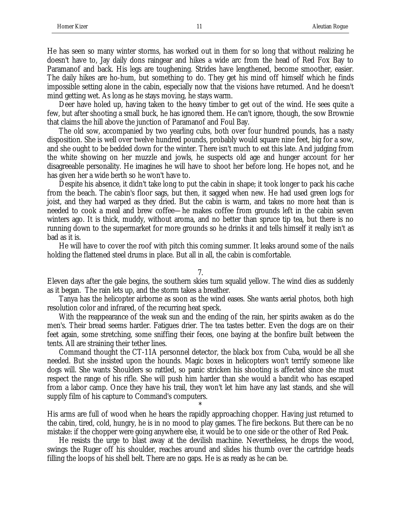He has seen so many winter storms, has worked out in them for so long that without realizing he doesn't have to, Jay daily dons raingear and hikes a wide arc from the head of Red Fox Bay to Paramanof and back. His legs are toughening. Strides have lengthened, become smoother, easier. The daily hikes are ho-hum, but something to do. They get his mind off himself which he finds impossible setting alone in the cabin, especially now that the visions have returned. And he doesn't mind getting wet. As long as he stays moving, he stays warm.

Deer have holed up, having taken to the heavy timber to get out of the wind. He sees quite a few, but after shooting a small buck, he has ignored them. He can't ignore, though, the sow Brownie that claims the hill above the junction of Paramanof and Foul Bay.

The old sow, accompanied by two yearling cubs, both over four hundred pounds, has a nasty disposition. She is well over twelve hundred pounds, probably would square nine feet, big for a sow, and she ought to be bedded down for the winter. There isn't much to eat this late. And judging from the white showing on her muzzle and jowls, he suspects old age and hunger account for her disagreeable personality. He imagines he will have to shoot her before long. He hopes not, and he has given her a wide berth so he won't have to.

Despite his absence, it didn't take long to put the cabin in shape; it took longer to pack his cache from the beach. The cabin's floor sags, but then, it sagged when new. He had used green logs for joist, and they had warped as they dried. But the cabin is warm, and takes no more heat than is needed to cook a meal and brew coffee—he makes coffee from grounds left in the cabin seven winters ago. It is thick, muddy, without aroma, and no better than spruce tip tea, but there is no running down to the supermarket for more grounds so he drinks it and tells himself it really isn't as bad as it is.

He will have to cover the roof with pitch this coming summer. It leaks around some of the nails holding the flattened steel drums in place. But all in all, the cabin is comfortable.

7.

Eleven days after the gale begins, the southern skies turn squalid yellow. The wind dies as suddenly as it began. The rain lets up, and the storm takes a breather.

Tanya has the helicopter airborne as soon as the wind eases. She wants aerial photos, both high resolution color and infrared, of the recurring heat speck.

With the reappearance of the weak sun and the ending of the rain, her spirits awaken as do the men's. Their bread seems harder. Fatigues drier. The tea tastes better. Even the dogs are on their feet again, some stretching, some sniffing their feces, one baying at the bonfire built between the tents. All are straining their tether lines.

Command thought the CT-11A personnel detector, the black box from Cuba, would be all she needed. But she insisted upon the hounds. Magic boxes in helicopters won't terrify someone like dogs will. She wants Shoulders so rattled, so panic stricken his shooting is affected since she must respect the range of his rifle. She will push him harder than she would a bandit who has escaped from a labor camp. Once they have his trail, they won't let him have any last stands, and she will supply film of his capture to Command's computers.

His arms are full of wood when he hears the rapidly approaching chopper. Having just returned to the cabin, tired, cold, hungry, he is in no mood to play games. The fire beckons. But there can be no mistake: if the chopper were going anywhere else, it would be to one side or the other of Red Peak.

\*

He resists the urge to blast away at the devilish machine. Nevertheless, he drops the wood, swings the Ruger off his shoulder, reaches around and slides his thumb over the cartridge heads filling the loops of his shell belt. There are no gaps. He is as ready as he can be.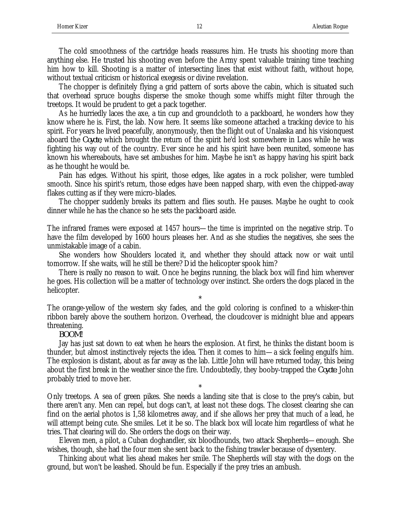The cold smoothness of the cartridge heads reassures him. He trusts his shooting more than anything else. He trusted his shooting even before the Army spent valuable training time teaching him how to kill. Shooting is a matter of intersecting lines that exist without faith, without hope, without textual criticism or historical exegesis or divine revelation.

The chopper is definitely flying a grid pattern of sorts above the cabin, which is situated such that overhead spruce boughs disperse the smoke though some whiffs might filter through the treetops. It would be prudent to get a pack together.

As he hurriedly laces the axe, a tin cup and groundcloth to a packboard, he wonders how they know where he is. First, the lab. Now here. It seems like someone attached a tracking device to his spirit. For years he lived peacefully, anonymously, then the flight out of Unalaska and his visionquest aboard the *Coyote*, which brought the return of the spirit he'd lost somewhere in Laos while he was fighting his way out of the country. Ever since he and his spirit have been reunited, someone has known his whereabouts, have set ambushes for him. Maybe he isn't as happy having his spirit back as he thought he would be.

Pain has edges. Without his spirit, those edges, like agates in a rock polisher, were tumbled smooth. Since his spirit's return, those edges have been napped sharp, with even the chipped-away flakes cutting as if they were micro-blades.

The chopper suddenly breaks its pattern and flies south. He pauses. Maybe he ought to cook dinner while he has the chance so he sets the packboard aside.

\*

The infrared frames were exposed at 1457 hours—the time is imprinted on the negative strip. To have the film developed by 1600 hours pleases her. And as she studies the negatives, she sees the unmistakable image of a cabin.

She wonders how Shoulders located it, and whether they should attack now or wait until tomorrow. If she waits, will he still be there? Did the helicopter spook him?

There is really no reason to wait. Once he begins running, the black box will find him wherever he goes. His collection will be a matter of technology over instinct. She orders the dogs placed in the helicopter.

\*

The orange-yellow of the western sky fades, and the gold coloring is confined to a whisker-thin ribbon barely above the southern horizon. Overhead, the cloudcover is midnight blue and appears threatening.

*BOOM!*

Jay has just sat down to eat when he hears the explosion. At first, he thinks the distant boom is thunder, but almost instinctively rejects the idea. Then it comes to him—a sick feeling engulfs him. The explosion is distant, about as far away as the lab. Little John will have returned today, this being about the first break in the weather since the fire. Undoubtedly, they booby-trapped the *Coyote*. John probably tried to move her.

Only treetops. A sea of green pikes. She needs a landing site that is close to the prey's cabin, but there aren't any. Men can repel, but dogs can't, at least not these dogs. The closest clearing she can find on the aerial photos is 1,58 kilometres away, and if she allows her prey that much of a lead, he will attempt being cute. She smiles. Let it be so. The black box will locate him regardless of what he tries. That clearing will do. She orders the dogs on their way.

\*

Eleven men, a pilot, a Cuban doghandler, six bloodhounds, two attack Shepherds—enough. She wishes, though, she had the four men she sent back to the fishing trawler because of dysentery.

Thinking about what lies ahead makes her smile. The Shepherds will stay with the dogs on the ground, but won't be leashed. Should be fun. Especially if the prey tries an ambush.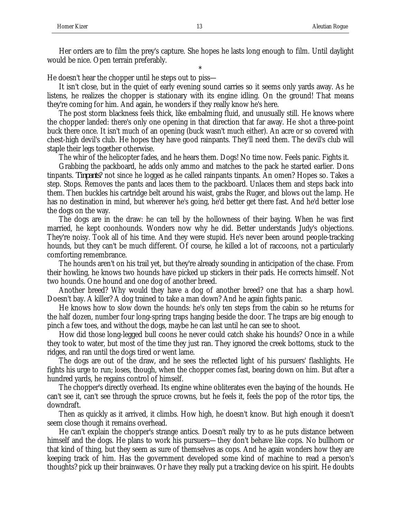Her orders are to film the prey's capture. She hopes he lasts long enough to film. Until daylight would be nice. Open terrain preferably.

\*

He doesn't hear the chopper until he steps out to piss—

It isn't close, but in the quiet of early evening sound carries so it seems only yards away. As he listens, he realizes the chopper is stationary with its engine idling. On the ground! That means they're coming for him. And again, he wonders if they really know he's here.

The post storm blackness feels thick, like embalming fluid, and unusually still. He knows where the chopper landed: there's only one opening in that direction that far away. He shot a three-point buck there once. It isn't much of an opening (buck wasn't much either). An acre or so covered with chest-high devil's club. He hopes they have good rainpants. They'll need them. The devil's club will staple their legs together otherwise.

The whir of the helicopter fades, and he hears them. Dogs! No time now. Feels panic. Fights it.

Grabbing the packboard, he adds only ammo and matches to the pack he started earlier. Dons tinpants. *Tinpants*? not since he logged as he called rainpants tinpants. An omen? Hopes so. Takes a step. Stops. Removes the pants and laces them to the packboard. Unlaces them and steps back into them. Then buckles his cartridge belt around his waist, grabs the Ruger, and blows out the lamp. He has no destination in mind, but wherever he's going, he'd better get there fast. And he'd better lose the dogs on the way.

The dogs are in the draw: he can tell by the hollowness of their baying. When he was first married, he kept coonhounds. Wonders now why he did. Better understands Judy's objections. They're noisy. Took all of his time. And they were stupid. He's never been around people-tracking hounds, but they can't be much different. Of course, he killed a lot of raccoons, not a particularly comforting remembrance.

The hounds aren't on his trail yet, but they're already sounding in anticipation of the chase. From their howling, he knows two hounds have picked up stickers in their pads. He corrects himself. Not two hounds. One hound and one dog of another breed.

Another breed? Why would they have a dog of another breed? one that has a sharp howl. Doesn't bay. A killer? A dog trained to take a man down? And he again fights panic.

He knows how to slow down the hounds: he's only ten steps from the cabin so he returns for the half dozen, number four long-spring traps hanging beside the door. The traps are big enough to pinch a few toes, and without the dogs, maybe he can last until he can see to shoot.

How did those long-legged bull coons he never could catch shake his hounds? Once in a while they took to water, but most of the time they just ran. They ignored the creek bottoms, stuck to the ridges, and ran until the dogs tired or went lame.

The dogs are out of the draw, and he sees the reflected light of his pursuers' flashlights. He fights his urge to run; loses, though, when the chopper comes fast, bearing down on him. But after a hundred yards, he regains control of himself.

The chopper's directly overhead. Its engine whine obliterates even the baying of the hounds. He can't see it, can't see through the spruce crowns, but he feels it, feels the pop of the rotor tips, the downdraft.

Then as quickly as it arrived, it climbs. How high, he doesn't know. But high enough it doesn't seem close though it remains overhead.

He can't explain the chopper's strange antics. Doesn't really try to as he puts distance between himself and the dogs. He plans to work his pursuers—they don't behave like cops. No bullhorn or that kind of thing, but they seem as sure of themselves as cops. And he again wonders how they are keeping track of him. Has the government developed some kind of machine to read a person's thoughts? pick up their brainwaves. Or have they really put a tracking device on his spirit. He doubts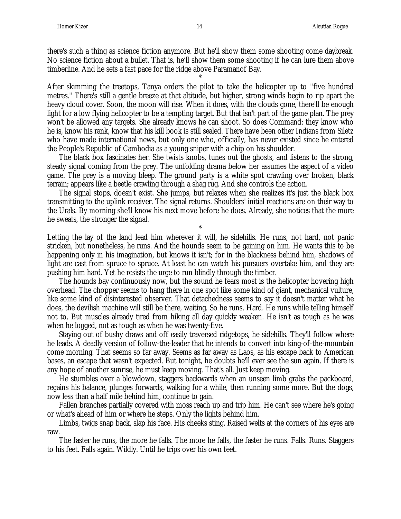there's such a thing as science fiction anymore. But he'll show them some shooting come daybreak. No science fiction about a bullet. That is, he'll show them some shooting if he can lure them above timberline. And he sets a fast pace for the ridge above Paramanof Bay.

\*

After skimming the treetops, Tanya orders the pilot to take the helicopter up to "five hundred metres." There's still a gentle breeze at that altitude, but higher, strong winds begin to rip apart the heavy cloud cover. Soon, the moon will rise. When it does, with the clouds gone, there'll be enough light for a low flying helicopter to be a tempting target. But that isn't part of the game plan. The prey won't be allowed any targets. She already knows he can shoot. So does Command: they know who he is, know his rank, know that his kill book is still sealed. There have been other Indians from Siletz who have made international news, but only one who, officially, has never existed since he entered the People's Republic of Cambodia as a young sniper with a chip on his shoulder.

The black box fascinates her. She twists knobs, tunes out the ghosts, and listens to the strong, steady signal coming from the prey. The unfolding drama below her assumes the aspect of a video game. The prey is a moving bleep. The ground party is a white spot crawling over broken, black terrain; appears like a beetle crawling through a shag rug. And she controls the action.

The signal stops, doesn't exist. She jumps, but relaxes when she realizes it's just the black box transmitting to the uplink receiver. The signal returns. Shoulders' initial reactions are on their way to the Urals. By morning she'll know his next move before he does. Already, she notices that the more he sweats, the stronger the signal.

\*

Letting the lay of the land lead him wherever it will, he sidehills. He runs, not hard, not panic stricken, but nonetheless, he runs. And the hounds seem to be gaining on him. He wants this to be happening only in his imagination, but knows it isn't; for in the blackness behind him, shadows of light are cast from spruce to spruce. At least he can watch his pursuers overtake him, and they are pushing him hard. Yet he resists the urge to run blindly through the timber.

The hounds bay continuously now, but the sound he fears most is the helicopter hovering high overhead. The chopper seems to hang there in one spot like some kind of giant, mechanical vulture, like some kind of disinterested observer. That detachedness seems to say it doesn't matter what he does, the devilish machine will still be there, waiting. So he runs. Hard. He runs while telling himself not to. But muscles already tired from hiking all day quickly weaken. He isn't as tough as he was when he logged, not as tough as when he was twenty-five.

Staying out of bushy draws and off easily traversed ridgetops, he sidehills. They'll follow where he leads. A deadly version of follow-the-leader that he intends to convert into king-of-the-mountain come morning. That seems so far away. Seems as far away as Laos, as his escape back to American bases, an escape that wasn't expected. But tonight, he doubts he'll ever see the sun again. If there is any hope of another sunrise, he must keep moving. That's all. Just keep moving.

He stumbles over a blowdown, staggers backwards when an unseen limb grabs the packboard, regains his balance, plunges forwards, walking for a while, then running some more. But the dogs, now less than a half mile behind him, continue to gain.

Fallen branches partially covered with moss reach up and trip him. He can't see where he's going or what's ahead of him or where he steps. Only the lights behind him.

Limbs, twigs snap back, slap his face. His cheeks sting. Raised welts at the corners of his eyes are raw.

The faster he runs, the more he falls. The more he falls, the faster he runs. Falls. Runs. Staggers to his feet. Falls again. Wildly. Until he trips over his own feet.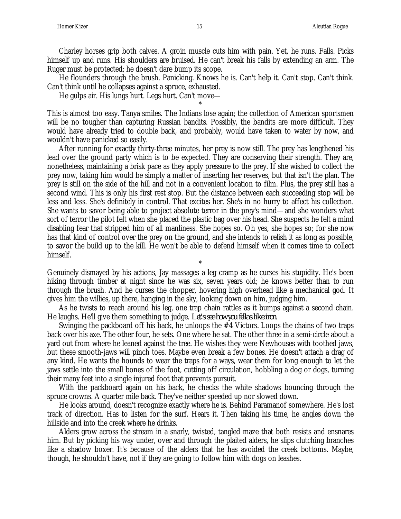Charley horses grip both calves. A groin muscle cuts him with pain. Yet, he runs. Falls. Picks himself up and runs. His shoulders are bruised. He can't break his falls by extending an arm. The Ruger must be protected; he doesn't dare bump its scope.

He flounders through the brush. Panicking. Knows he is. Can't help it. Can't stop. Can't think. Can't think until he collapses against a spruce, exhausted.

\*

He gulps air. His lungs hurt. Legs hurt. Can't move—

This is almost too easy. Tanya smiles. The Indians lose again; the collection of American sportsmen will be no tougher than capturing Russian bandits. Possibly, the bandits are more difficult. They would have already tried to double back, and probably, would have taken to water by now, and wouldn't have panicked so easily.

After running for exactly thirty-three minutes, her prey is now still. The prey has lengthened his lead over the ground party which is to be expected. They are conserving their strength. They are, nonetheless, maintaining a brisk pace as they apply pressure to the prey. If she wished to collect the prey now, taking him would be simply a matter of inserting her reserves, but that isn't the plan. The prey is still on the side of the hill and not in a convenient location to film. Plus, the prey still has a second wind. This is only his first rest stop. But the distance between each succeeding stop will be less and less. She's definitely in control. That excites her. She's in no hurry to affect his collection. She wants to savor being able to project absolute terror in the prey's mind—and she wonders what sort of terror the pilot felt when she placed the plastic bag over his head. She suspects he felt a mind disabling fear that stripped him of all manliness. She hopes so. Oh yes, she hopes so; for she now has that kind of control over the prey on the ground, and she intends to relish it as long as possible, to savor the build up to the kill. He won't be able to defend himself when it comes time to collect himself.

Genuinely dismayed by his actions, Jay massages a leg cramp as he curses his stupidity. He's been hiking through timber at night since he was six, seven years old; he knows better than to run through the brush. And he curses the chopper, hovering high overhead like a mechanical god. It gives him the willies, up there, hanging in the sky, looking down on him, judging him.

\*

As he twists to reach around his leg, one trap chain rattles as it bumps against a second chain. He laughs. He'll give them something to judge. *Let's see how you fellas like iron.*

Swinging the packboard off his back, he unloops the #4 Victors. Loops the chains of two traps back over his axe. The other four, he sets. One where he sat. The other three in a semi-circle about a yard out from where he leaned against the tree. He wishes they were Newhouses with toothed jaws, but these smooth-jaws will pinch toes. Maybe even break a few bones. He doesn't attach a drag of any kind. He wants the hounds to wear the traps for a ways, wear them for long enough to let the jaws settle into the small bones of the foot, cutting off circulation, hobbling a dog or dogs, turning their many feet into a single injured foot that prevents pursuit.

With the packboard again on his back, he checks the white shadows bouncing through the spruce crowns. A quarter mile back. They've neither speeded up nor slowed down.

He looks around, doesn't recognize exactly where he is. Behind Paramanof somewhere. He's lost track of direction. Has to listen for the surf. Hears it. Then taking his time, he angles down the hillside and into the creek where he drinks.

Alders grow across the stream in a snarly, twisted, tangled maze that both resists and ensnares him. But by picking his way under, over and through the plaited alders, he slips clutching branches like a shadow boxer. It's because of the alders that he has avoided the creek bottoms. Maybe, though, he shouldn't have, not if they are going to follow him with dogs on leashes.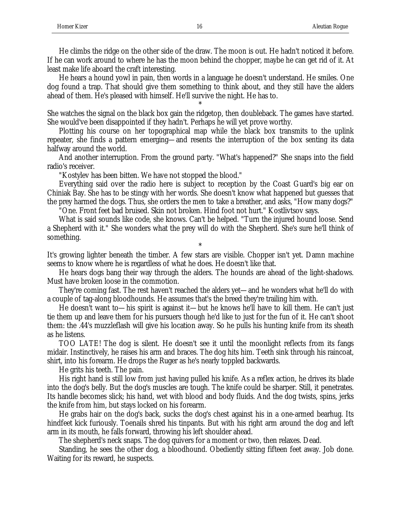He climbs the ridge on the other side of the draw. The moon is out. He hadn't noticed it before. If he can work around to where he has the moon behind the chopper, maybe he can get rid of it. At least make life aboard the craft interesting.

He hears a hound yowl in pain, then words in a language he doesn't understand. He smiles. One dog found a trap. That should give them something to think about, and they still have the alders ahead of them. He's pleased with himself. He'll survive the night. He has to.

\* She watches the signal on the black box gain the ridgetop, then doubleback. The games have started. She would've been disappointed if they hadn't. Perhaps he will yet prove worthy.

Plotting his course on her topographical map while the black box transmits to the uplink repeater, she finds a pattern emerging—and resents the interruption of the box senting its data halfway around the world.

And another interruption. From the ground party. "What's happened?" She snaps into the field radio's receiver.

"Kostylev has been bitten. We have not stopped the blood."

Everything said over the radio here is subject to reception by the Coast Guard's big ear on Chiniak Bay. She has to be stingy with her words. She doesn't know what happened but guesses that the prey harmed the dogs. Thus, she orders the men to take a breather, and asks, "How many dogs?"

"One. Front feet bad bruised. Skin not broken. Hind foot not hurt." Kostlivtsov says.

What is said sounds like code, she knows. Can't be helped. "Turn the injured hound loose. Send a Shepherd with it." She wonders what the prey will do with the Shepherd. She's sure he'll think of something.

\* It's growing lighter beneath the timber. A few stars are visible. Chopper isn't yet. Damn machine seems to know where he is regardless of what he does. He doesn't like that.

He hears dogs bang their way through the alders. The hounds are ahead of the light-shadows. Must have broken loose in the commotion.

They're coming fast. The rest haven't reached the alders yet—and he wonders what he'll do with a couple of tag-along bloodhounds. He assumes that's the breed they're trailing him with.

He doesn't want to—his spirit is against it—but he knows he'll have to kill them. He can't just tie them up and leave them for his pursuers though he'd like to just for the fun of it. He can't shoot them: the .44's muzzleflash will give his location away. So he pulls his hunting knife from its sheath as he listens.

TOO LATE! The dog is silent. He doesn't see it until the moonlight reflects from its fangs midair. Instinctively, he raises his arm and braces. The dog hits him. Teeth sink through his raincoat, shirt, into his forearm. He drops the Ruger as he's nearly toppled backwards.

He grits his teeth. The pain.

His right hand is still low from just having pulled his knife. As a reflex action, he drives its blade into the dog's belly. But the dog's muscles are tough. The knife could be sharper. Still, it penetrates. Its handle becomes slick; his hand, wet with blood and body fluids. And the dog twists, spins, jerks the knife from him, but stays locked on his forearm.

He grabs hair on the dog's back, sucks the dog's chest against his in a one-armed bearhug. Its hindfeet kick furiously. Toenails shred his tinpants. But with his right arm around the dog and left arm in its mouth, he falls forward, throwing his left shoulder ahead.

The shepherd's neck snaps. The dog quivers for a moment or two, then relaxes. Dead.

Standing, he sees the other dog, a bloodhound. Obediently sitting fifteen feet away. Job done. Waiting for its reward, he suspects.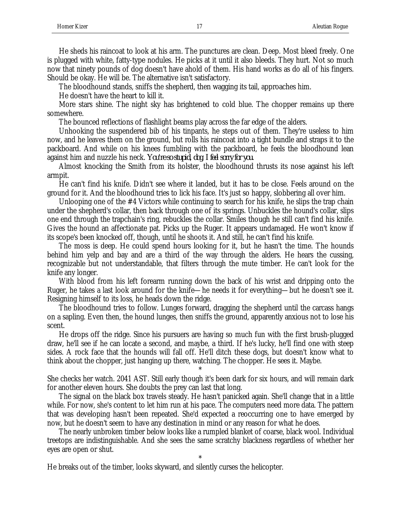He sheds his raincoat to look at his arm. The punctures are clean. Deep. Most bleed freely. One is plugged with white, fatty-type nodules. He picks at it until it also bleeds. They hurt. Not so much now that ninety pounds of dog doesn't have ahold of them. His hand works as do all of his fingers. Should be okay. He will be. The alternative isn't satisfactory.

The bloodhound stands, sniffs the shepherd, then wagging its tail, approaches him.

He doesn't have the heart to kill it.

More stars shine. The night sky has brightened to cold blue. The chopper remains up there somewhere.

The bounced reflections of flashlight beams play across the far edge of the alders.

Unhooking the suspendered bib of his tinpants, he steps out of them. They're useless to him now, and he leaves them on the ground, but rolls his raincoat into a tight bundle and straps it to the packboard. And while on his knees fumbling with the packboard, he feels the bloodhound lean against him and nuzzle his neck. *You're so stupid, dog, I feel sorry for you.*

Almost knocking the Smith from its holster, the bloodhound thrusts its nose against his left armpit.

He can't find his knife. Didn't see where it landed, but it has to be close. Feels around on the ground for it. And the bloodhound tries to lick his face. It's just so happy, slobbering all over him.

Unlooping one of the #4 Victors while continuing to search for his knife, he slips the trap chain under the shepherd's collar, then back through one of its springs. Unbuckles the hound's collar, slips one end through the trapchain's ring, rebuckles the collar. Smiles though he still can't find his knife. Gives the hound an affectionate pat. Picks up the Ruger. It appears undamaged. He won't know if its scope's been knocked off, though, until he shoots it. And still, he can't find his knife.

The moss is deep. He could spend hours looking for it, but he hasn't the time. The hounds behind him yelp and bay and are a third of the way through the alders. He hears the cussing, recognizable but not understandable, that filters through the mute timber. He can't look for the knife any longer.

With blood from his left forearm running down the back of his wrist and dripping onto the Ruger, he takes a last look around for the knife—he needs it for everything—but he doesn't see it. Resigning himself to its loss, he heads down the ridge.

The bloodhound tries to follow. Lunges forward, dragging the shepherd until the carcass hangs on a sapling. Even then, the hound lunges, then sniffs the ground, apparently anxious not to lose his scent.

He drops off the ridge. Since his pursuers are having so much fun with the first brush-plugged draw, he'll see if he can locate a second, and maybe, a third. If he's lucky, he'll find one with steep sides. A rock face that the hounds will fall off. He'll ditch these dogs, but doesn't know what to think about the chopper, just hanging up there, watching. The chopper. He sees it. Maybe.

\* She checks her watch. 2041 AST. Still early though it's been dark for six hours, and will remain dark for another eleven hours. She doubts the prey can last that long.

The signal on the black box travels steady. He hasn't panicked again. She'll change that in a little while. For now, she's content to let him run at his pace. The computers need more data. The pattern that was developing hasn't been repeated. She'd expected a reoccurring one to have emerged by now, but he doesn't seem to have any destination in mind or any reason for what he does.

The nearly unbroken timber below looks like a rumpled blanket of coarse, black wool. Individual treetops are indistinguishable. And she sees the same scratchy blackness regardless of whether her eyes are open or shut.

\*

He breaks out of the timber, looks skyward, and silently curses the helicopter.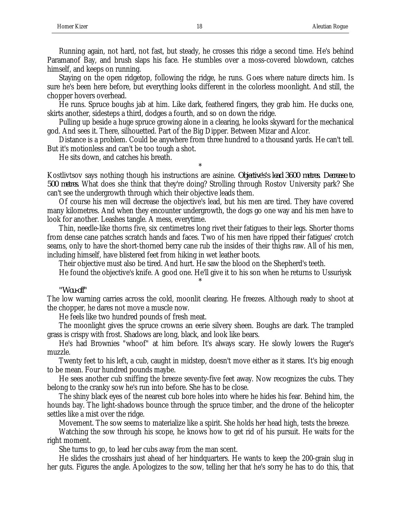Running again, not hard, not fast, but steady, he crosses this ridge a second time. He's behind Paramanof Bay, and brush slaps his face. He stumbles over a moss-covered blowdown, catches himself, and keeps on running.

Staying on the open ridgetop, following the ridge, he runs. Goes where nature directs him. Is sure he's been here before, but everything looks different in the colorless moonlight. And still, the chopper hovers overhead.

He runs. Spruce boughs jab at him. Like dark, feathered fingers, they grab him. He ducks one, skirts another, sidesteps a third, dodges a fourth, and so on down the ridge.

Pulling up beside a huge spruce growing alone in a clearing, he looks skyward for the mechanical god. And sees it. There, silhouetted. Part of the Big Dipper. Between Mizar and Alcor.

Distance is a problem. Could be anywhere from three hundred to a thousand yards. He can't tell. But it's motionless and can't be too tough a shot.

He sits down, and catches his breath.

Kostlivtsov says nothing though his instructions are asinine. *Objective's's lead 3600 metres. Decrease to 500 metres.* What does she think that they're doing? Strolling through Rostov University park? She can't see the undergrowth through which their objective leads them.

\*

Of course his men will decrease the objective's lead, but his men are tired. They have covered many kilometres. And when they encounter undergrowth, the dogs go one way and his men have to look for another. Leashes tangle. A mess, everytime.

Thin, needle-like thorns five, six centimetres long rivet their fatigues to their legs. Shorter thorns from dense cane patches scratch hands and faces. Two of his men have ripped their fatigues' crotch seams, only to have the short-thorned berry cane rub the insides of their thighs raw. All of his men, including himself, have blistered feet from hiking in wet leather boots.

Their objective must also be tired. And hurt. He saw the blood on the Shepherd's teeth.

He found the objective's knife. A good one. He'll give it to his son when he returns to Ussuriysk

#### *"Wou-off"*

The low warning carries across the cold, moonlit clearing. He freezes. Although ready to shoot at the chopper, he dares not move a muscle now.

\*

He feels like two hundred pounds of fresh meat.

The moonlight gives the spruce crowns an eerie silvery sheen. Boughs are dark. The trampled grass is crispy with frost. Shadows are long, black, and look like bears.

He's had Brownies "whoof" at him before. It's always scary. He slowly lowers the Ruger's muzzle.

Twenty feet to his left, a cub, caught in midstep, doesn't move either as it stares. It's big enough to be mean. Four hundred pounds maybe.

He sees another cub sniffing the breeze seventy-five feet away. Now recognizes the cubs. They belong to the cranky sow he's run into before. She has to be close.

The shiny black eyes of the nearest cub bore holes into where he hides his fear. Behind him, the hounds bay. The light-shadows bounce through the spruce timber, and the drone of the helicopter settles like a mist over the ridge.

Movement. The sow seems to materialize like a spirit. She holds her head high, tests the breeze.

Watching the sow through his scope, he knows how to get rid of his pursuit. He waits for the right moment.

She turns to go, to lead her cubs away from the man scent.

He slides the crosshairs just ahead of her hindquarters. He wants to keep the 200-grain slug in her guts. Figures the angle. Apologizes to the sow, telling her that he's sorry he has to do this, that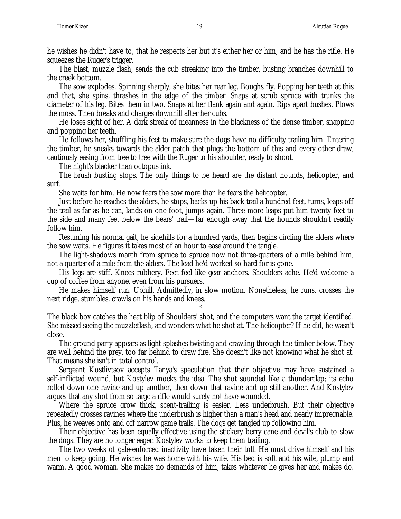he wishes he didn't have to, that he respects her but it's either her or him, and he has the rifle. He squeezes the Ruger's trigger.

The blast, muzzle flash, sends the cub streaking into the timber, busting branches downhill to the creek bottom.

The sow explodes. Spinning sharply, she bites her rear leg. Boughs fly. Popping her teeth at this and that, she spins, thrashes in the edge of the timber. Snaps at scrub spruce with trunks the diameter of his leg. Bites them in two. Snaps at her flank again and again. Rips apart bushes. Plows the moss. Then breaks and charges downhill after her cubs.

He loses sight of her. A dark streak of meanness in the blackness of the dense timber, snapping and popping her teeth.

He follows her, shuffling his feet to make sure the dogs have no difficulty trailing him. Entering the timber, he sneaks towards the alder patch that plugs the bottom of this and every other draw, cautiously easing from tree to tree with the Ruger to his shoulder, ready to shoot.

The night's blacker than octopus ink.

The brush busting stops. The only things to be heard are the distant hounds, helicopter, and surf.

She waits for him. He now fears the sow more than he fears the helicopter.

Just before he reaches the alders, he stops, backs up his back trail a hundred feet, turns, leaps off the trail as far as he can, lands on one foot, jumps again. Three more leaps put him twenty feet to the side and many feet below the bears' trail—far enough away that the hounds shouldn't readily follow him.

Resuming his normal gait, he sidehills for a hundred yards, then begins circling the alders where the sow waits. He figures it takes most of an hour to ease around the tangle.

The light-shadows march from spruce to spruce now not three-quarters of a mile behind him, not a quarter of a mile from the alders. The lead he'd worked so hard for is gone.

His legs are stiff. Knees rubbery. Feet feel like gear anchors. Shoulders ache. He'd welcome a cup of coffee from anyone, even from his pursuers.

He makes himself run. Uphill. Admittedly, in slow motion. Nonetheless, he runs, crosses the next ridge, stumbles, crawls on his hands and knees.

\*

The black box catches the heat blip of Shoulders' shot, and the computers want the target identified. She missed seeing the muzzleflash, and wonders what he shot at. The helicopter? If he did, he wasn't close.

The ground party appears as light splashes twisting and crawling through the timber below. They are well behind the prey, too far behind to draw fire. She doesn't like not knowing what he shot at. That means she isn't in total control.

Sergeant Kostlivtsov accepts Tanya's speculation that their objective may have sustained a self-inflicted wound, but Kostylev mocks the idea. The shot sounded like a thunderclap; its echo rolled down one ravine and up another, then down that ravine and up still another. And Kostylev argues that any shot from so large a rifle would surely not have wounded.

Where the spruce grow thick, scent-trailing is easier. Less underbrush. But their objective repeatedly crosses ravines where the underbrush is higher than a man's head and nearly impregnable. Plus, he weaves onto and off narrow game trails. The dogs get tangled up following him.

Their objective has been equally effective using the stickery berry cane and devil's club to slow the dogs. They are no longer eager. Kostylev works to keep them trailing.

The two weeks of gale-enforced inactivity have taken their toll. He must drive himself and his men to keep going. He wishes he was home with his wife. His bed is soft and his wife, plump and warm. A good woman. She makes no demands of him, takes whatever he gives her and makes do.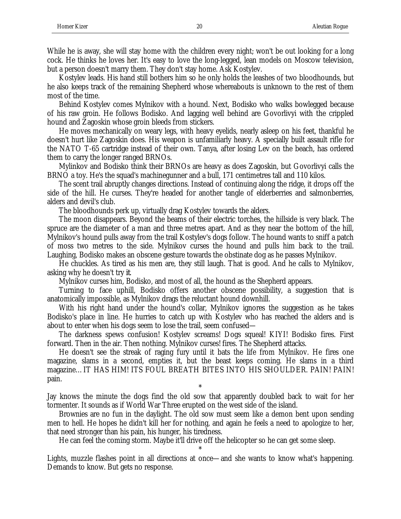While he is away, she will stay home with the children every night; won't be out looking for a long cock. He thinks he loves her. It's easy to love the long-legged, lean models on Moscow television, but a person doesn't marry them. They don't stay home. Ask Kostylev.

Kostylev leads. His hand still bothers him so he only holds the leashes of two bloodhounds, but he also keeps track of the remaining Shepherd whose whereabouts is unknown to the rest of them most of the time.

Behind Kostylev comes Mylnikov with a hound. Next, Bodisko who walks bowlegged because of his raw groin. He follows Bodisko. And lagging well behind are Govorlivyi with the crippled hound and Zagoskin whose groin bleeds from stickers.

He moves mechanically on weary legs, with heavy eyelids, nearly asleep on his feet, thankful he doesn't hurt like Zagoskin does. His weapon is unfamiliarly heavy. A specially built assault rifle for the NATO T-65 cartridge instead of their own. Tanya, after losing Lev on the beach, has ordered them to carry the longer ranged BRNOs.

Mylinkov and Bodisko think their BRNOs are heavy as does Zagoskin, but Govorlivyi calls the BRNO a toy. He's the squad's machinegunner and a bull, 171 centimetres tall and 110 kilos.

The scent trail abruptly changes directions. Instead of continuing along the ridge, it drops off the side of the hill. He curses. They're headed for another tangle of elderberries and salmonberries, alders and devil's club.

The bloodhounds perk up, virtually drag Kostylev towards the alders.

The moon disappears. Beyond the beams of their electric torches, the hillside is very black. The spruce are the diameter of a man and three metres apart. And as they near the bottom of the hill, Mylnikov's hound pulls away from the trail Kostylev's dogs follow. The hound wants to sniff a patch of moss two metres to the side. Mylnikov curses the hound and pulls him back to the trail. Laughing, Bodisko makes an obscene gesture towards the obstinate dog as he passes Mylnikov.

He chuckles. As tired as his men are, they still laugh. That is good. And he calls to Mylnikov, asking why he doesn't try *it*.

Mylnikov curses him, Bodisko, and most of all, the hound as the Shepherd appears.

Turning to face uphill, Bodisko offers another obscene possibility, a suggestion that is anatomically impossible, as Mylnikov drags the reluctant hound downhill.

With his right hand under the hound's collar, Mylnikov ignores the suggestion as he takes Bodisko's place in line. He hurries to catch up with Kostylev who has reached the alders and is about to enter when his dogs seem to lose the trail, seem confused—

The darkness spews confusion! Kostylev screams! Dogs squeal! KIYI! Bodisko fires. First forward. Then in the air. Then nothing. Mylnikov curses! fires. The Shepherd attacks.

He doesn't see the streak of raging fury until it bats the life from Mylnikov. He fires one magazine, slams in a second, empties it, but the beast keeps coming. He slams in a third magazine…IT HAS HIM! ITS FOUL BREATH BITES INTO HIS SHOULDER. PAIN! PAIN! pain.

\* Jay knows the minute the dogs find the old sow that apparently doubled back to wait for her tormenter. It sounds as if World War Three erupted on the west side of the island.

Brownies are no fun in the daylight. The old sow must seem like a demon bent upon sending men to hell. He hopes he didn't kill her for nothing, and again he feels a need to apologize to her, that need stronger than his pain, his hunger, his tiredness.

He can feel the coming storm. Maybe it'll drive off the helicopter so he can get some sleep. \*

Lights, muzzle flashes point in all directions at once—and she wants to know what's happening. Demands to know. But gets no response.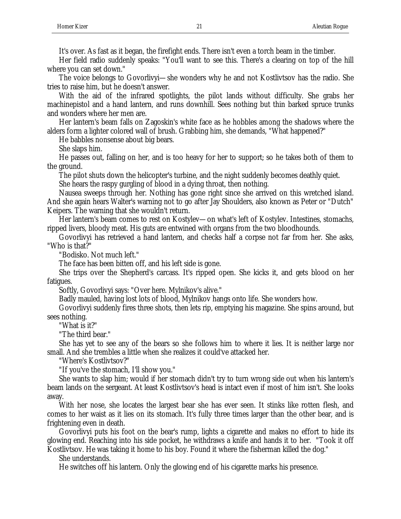It's over. As fast as it began, the firefight ends. There isn't even a torch beam in the timber.

Her field radio suddenly speaks: "You'll want to see this. There's a clearing on top of the hill where you can set down."

The voice belongs to Govorlivyi—she wonders why he and not Kostlivtsov has the radio. She tries to raise him, but he doesn't answer.

With the aid of the infrared spotlights, the pilot lands without difficulty. She grabs her machinepistol and a hand lantern, and runs downhill. Sees nothing but thin barked spruce trunks and wonders where her men are.

Her lantern's beam falls on Zagoskin's white face as he hobbles among the shadows where the alders form a lighter colored wall of brush. Grabbing him, she demands, "What happened?"

He babbles nonsense about big bears.

She slaps him.

He passes out, falling on her, and is too heavy for her to support; so he takes both of them to the ground.

The pilot shuts down the helicopter's turbine, and the night suddenly becomes deathly quiet.

She hears the raspy gurgling of blood in a dying throat, then nothing.

Nausea sweeps through her. Nothing has gone right since she arrived on this wretched island. And she again hears Walter's warning not to go after Jay Shoulders, also known as Peter or "Dutch" Keipers. The warning that she wouldn't return.

Her lantern's beam comes to rest on Kostylev—on what's left of Kostylev. Intestines, stomachs, ripped livers, bloody meat. His guts are entwined with organs from the two bloodhounds.

Govorlivyi has retrieved a hand lantern, and checks half a corpse not far from her. She asks, "Who is that?"

"Bodisko. Not much left."

The face has been bitten off, and his left side is gone.

She trips over the Shepherd's carcass. It's ripped open. She kicks it, and gets blood on her fatigues.

Softly, Govorlivyi says: "Over here. Mylnikov's alive."

Badly mauled, having lost lots of blood, Mylnikov hangs onto life. She wonders how.

Govorlivyi suddenly fires three shots, then lets rip, emptying his magazine. She spins around, but sees nothing.

"What is it?"

"The third bear."

She has yet to see any of the bears so she follows him to where it lies. It is neither large nor small. And she trembles a little when she realizes it could've attacked her.

"Where's Kostlivtsov?"

"If you've the stomach, I'll show you."

She wants to slap him; would if her stomach didn't try to turn wrong side out when his lantern's beam lands on the sergeant. At least Kostlivtsov's head is intact even if most of him isn't. She looks away.

With her nose, she locates the largest bear she has ever seen. It stinks like rotten flesh, and comes to her waist as it lies on its stomach. It's fully three times larger than the other bear, and is frightening even in death.

Govorlivyi puts his foot on the bear's rump, lights a cigarette and makes no effort to hide its glowing end. Reaching into his side pocket, he withdraws a knife and hands it to her. "Took it off Kostlivtsov. He was taking it home to his boy. Found it where the fisherman killed the dog."

She understands.

He switches off his lantern. Only the glowing end of his cigarette marks his presence.